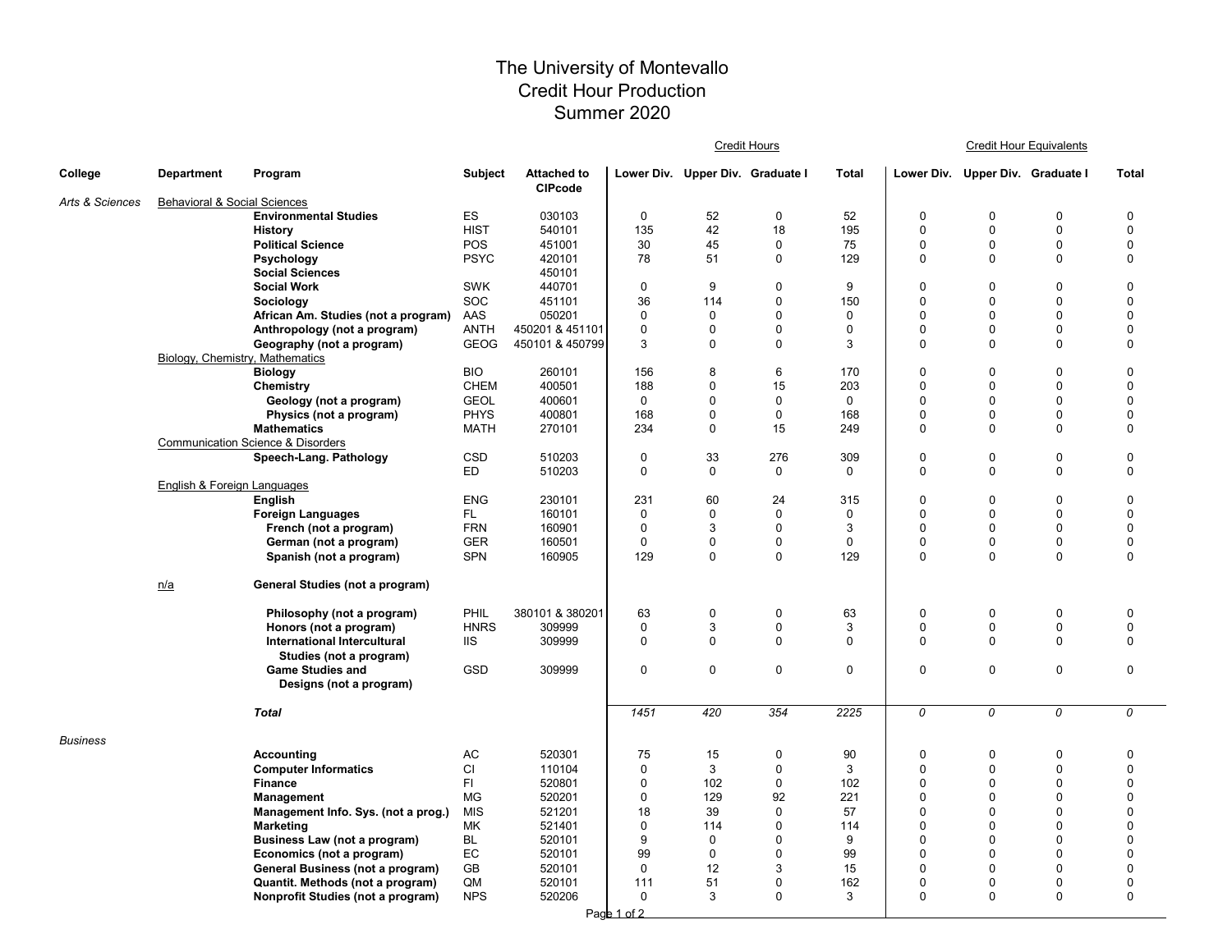## The University of Montevallo Credit Hour Production Summer 2020

|                 |                                 |                                                    |                   |                                      | <b>Credit Hours</b> |                                  |                   |                    |                            | <b>Credit Hour Equivalents</b>   |                          |                            |  |
|-----------------|---------------------------------|----------------------------------------------------|-------------------|--------------------------------------|---------------------|----------------------------------|-------------------|--------------------|----------------------------|----------------------------------|--------------------------|----------------------------|--|
| College         | <b>Department</b>               | Program                                            | Subject           | <b>Attached to</b><br><b>CIPcode</b> |                     | Lower Div. Upper Div. Graduate I |                   | <b>Total</b>       |                            | Lower Div. Upper Div. Graduate I |                          | <b>Total</b>               |  |
| Arts & Sciences | Behavioral & Social Sciences    |                                                    |                   |                                      |                     |                                  |                   |                    |                            |                                  |                          |                            |  |
|                 |                                 | <b>Environmental Studies</b>                       | ES                | 030103                               | $\mathbf 0$         | 52                               | $\mathbf 0$       | 52                 | $\mathbf 0$                | 0                                | 0                        | $\mathbf 0$                |  |
|                 |                                 | History                                            | <b>HIST</b>       | 540101                               | 135                 | 42                               | 18                | 195                | $\mathbf 0$                | 0                                | $\pmb{0}$                | 0                          |  |
|                 |                                 | <b>Political Science</b>                           | POS               | 451001                               | 30                  | 45                               | $\pmb{0}$         | 75                 | $\Omega$                   | 0                                | $\pmb{0}$                | $\Omega$                   |  |
|                 |                                 | Psychology                                         | <b>PSYC</b>       | 420101                               | 78                  | 51                               | $\mathbf 0$       | 129                | $\mathbf 0$                | 0                                | $\mathbf 0$              | 0                          |  |
|                 |                                 | <b>Social Sciences</b><br><b>Social Work</b>       | <b>SWK</b>        | 450101<br>440701                     | $\mathbf 0$         | 9                                | $\mathbf 0$       | 9                  | $\mathbf 0$                | 0                                | 0                        | 0                          |  |
|                 |                                 | Sociology                                          | <b>SOC</b>        | 451101                               | 36                  | 114                              | $\mathbf 0$       | 150                | $\Omega$                   | 0                                | $\mathbf 0$              | $\mathbf 0$                |  |
|                 |                                 | African Am. Studies (not a program)                | AAS               | 050201                               | $\mathbf 0$         | $\mathbf 0$                      | $\pmb{0}$         | 0                  | $\mathbf 0$                | 0                                | $\pmb{0}$                | $\Omega$                   |  |
|                 |                                 | Anthropology (not a program)                       | <b>ANTH</b>       | 450201 & 451101                      | $\mathbf 0$         | 0                                | $\mathbf 0$       | 0                  | $\mathbf 0$                | 0                                | $\pmb{0}$                | 0                          |  |
|                 |                                 | Geography (not a program)                          | <b>GEOG</b>       | 450101 & 450799                      | 3                   | $\Omega$                         | $\mathbf 0$       | 3                  | $\mathbf 0$                | $\Omega$                         | $\Omega$                 | 0                          |  |
|                 | Biology, Chemistry, Mathematics |                                                    |                   |                                      |                     |                                  |                   |                    |                            |                                  |                          |                            |  |
|                 |                                 | <b>Biology</b>                                     | <b>BIO</b>        | 260101                               | 156                 | 8                                | 6                 | 170                | $\mathbf 0$                | 0                                | $\mathbf 0$              | $\mathbf 0$                |  |
|                 |                                 | Chemistry                                          | <b>CHEM</b>       | 400501                               | 188                 | 0                                | 15                | 203                | $\Omega$                   | $\Omega$                         | 0                        | $\Omega$                   |  |
|                 |                                 | Geology (not a program)                            | <b>GEOL</b>       | 400601                               | $\mathbf 0$         | 0                                | $\mathbf 0$       | $\mathbf 0$        | $\mathbf 0$                | 0                                | $\pmb{0}$                | 0                          |  |
|                 |                                 | Physics (not a program)                            | <b>PHYS</b>       | 400801                               | 168                 | 0                                | $\mathbf 0$       | 168                | $\mathbf 0$                | 0                                | $\pmb{0}$                | $\Omega$                   |  |
|                 |                                 | <b>Mathematics</b>                                 | <b>MATH</b>       | 270101                               | 234                 | 0                                | 15                | 249                | 0                          | 0                                | 0                        | 0                          |  |
|                 |                                 | <b>Communication Science &amp; Disorders</b>       |                   |                                      |                     |                                  |                   |                    |                            |                                  |                          |                            |  |
|                 |                                 | Speech-Lang. Pathology                             | CSD               | 510203                               | $\mathbf 0$         | 33                               | 276               | 309                | $\mathbf 0$                | 0                                | $\pmb{0}$                | 0                          |  |
|                 |                                 |                                                    | ED                | 510203                               | $\mathbf 0$         | $\mathbf 0$                      | $\mathbf 0$       | $\mathbf 0$        | $\mathbf 0$                | 0                                | 0                        | 0                          |  |
|                 | English & Foreign Languages     |                                                    |                   |                                      |                     |                                  |                   |                    |                            |                                  |                          |                            |  |
|                 |                                 | English                                            | <b>ENG</b><br>FL. | 230101<br>160101                     | 231<br>$\mathbf 0$  | 60<br>$\mathbf 0$                | 24<br>$\mathbf 0$ | 315<br>$\mathbf 0$ | $\mathbf 0$<br>$\mathbf 0$ | 0<br>0                           | $\mathbf 0$<br>$\pmb{0}$ | $\mathbf 0$<br>$\mathbf 0$ |  |
|                 |                                 | <b>Foreign Languages</b><br>French (not a program) | <b>FRN</b>        | 160901                               | $\Omega$            | 3                                | $\mathbf 0$       | 3                  | $\Omega$                   | $\Omega$                         | $\pmb{0}$                | $\Omega$                   |  |
|                 |                                 | German (not a program)                             | <b>GER</b>        | 160501                               | $\mathbf 0$         | 0                                | $\mathbf 0$       | 0                  | $\mathbf 0$                | 0                                | $\pmb{0}$                | 0                          |  |
|                 |                                 | Spanish (not a program)                            | <b>SPN</b>        | 160905                               | 129                 | $\mathbf 0$                      | $\pmb{0}$         | 129                | $\mathbf 0$                | 0                                | $\mathbf 0$              | 0                          |  |
|                 |                                 |                                                    |                   |                                      |                     |                                  |                   |                    |                            |                                  |                          |                            |  |
|                 | <u>n/a</u>                      | General Studies (not a program)                    |                   |                                      |                     |                                  |                   |                    |                            |                                  |                          |                            |  |
|                 |                                 | Philosophy (not a program)                         | <b>PHIL</b>       | 380101 & 380201                      | 63                  | 0                                | $\mathbf 0$       | 63                 | $\mathbf 0$                | 0                                | 0                        | 0                          |  |
|                 |                                 | Honors (not a program)                             | <b>HNRS</b>       | 309999                               | $\mathbf 0$         | 3                                | $\pmb{0}$         | 3                  | $\mathbf 0$                | $\mathbf 0$                      | $\mathsf 0$              | $\mathbf 0$                |  |
|                 |                                 | <b>International Intercultural</b>                 | <b>IIS</b>        | 309999                               | $\mathbf 0$         | $\mathbf 0$                      | $\mathbf 0$       | 0                  | $\mathbf 0$                | 0                                | $\mathbf 0$              | $\mathbf 0$                |  |
|                 |                                 | Studies (not a program)                            |                   |                                      |                     |                                  |                   |                    |                            |                                  |                          |                            |  |
|                 |                                 | <b>Game Studies and</b><br>Designs (not a program) | GSD               | 309999                               | $\mathbf 0$         | 0                                | $\mathbf 0$       | 0                  | $\pmb{0}$                  | 0                                | $\pmb{0}$                | 0                          |  |
|                 |                                 | <b>Total</b>                                       |                   |                                      | 1451                | 420                              | 354               | 2225               | 0                          | 0                                | 0                        | 0                          |  |
| <b>Business</b> |                                 |                                                    |                   |                                      |                     |                                  |                   |                    |                            |                                  |                          |                            |  |
|                 |                                 | <b>Accounting</b>                                  | AC                | 520301                               | 75                  | 15                               | $\mathbf 0$       | 90                 | $\mathbf 0$                | 0                                | 0                        | $\mathbf 0$                |  |
|                 |                                 | <b>Computer Informatics</b>                        | CI                | 110104                               | $\mathbf 0$         | 3                                | $\mathbf 0$       | 3                  | $\Omega$                   | 0                                | $\pmb{0}$                | $\Omega$                   |  |
|                 |                                 | <b>Finance</b>                                     | FI.               | 520801                               | $\mathbf 0$         | 102                              | $\pmb{0}$         | 102                | $\mathbf 0$                | 0                                | $\mathbf 0$              | $\Omega$                   |  |
|                 |                                 | Management                                         | <b>MG</b>         | 520201                               | $\mathbf 0$         | 129                              | 92                | 221                | $\mathbf 0$                | 0                                | $\pmb{0}$                | $\Omega$                   |  |
|                 |                                 | Management Info. Sys. (not a prog.)                | <b>MIS</b>        | 521201                               | 18                  | 39                               | 0                 | 57                 | $\mathbf 0$                | 0                                | 0                        | $\Omega$                   |  |
|                 |                                 | Marketing                                          | <b>MK</b>         | 521401                               | $\mathbf 0$         | 114                              | $\mathbf 0$       | 114                | $\Omega$                   | 0                                | $\mathbf 0$              | 0                          |  |
|                 |                                 | Business Law (not a program)                       | <b>BL</b>         | 520101                               | 9                   | $\mathbf 0$                      | $\pmb{0}$         | 9                  | $\mathbf 0$                | 0                                | $\pmb{0}$                | $\Omega$                   |  |
|                 |                                 | Economics (not a program)                          | EC                | 520101                               | 99                  | $\mathbf 0$                      | $\mathbf 0$       | 99                 | $\mathbf 0$                | 0                                | 0                        | $\Omega$                   |  |
|                 |                                 | General Business (not a program)                   | GB                | 520101                               | $\mathbf 0$         | 12                               | 3                 | 15                 | $\Omega$                   | $\Omega$                         | $\mathbf 0$              | $\Omega$                   |  |
|                 |                                 | Quantit. Methods (not a program)                   | QM                | 520101                               | 111                 | 51                               | $\mathbf 0$       | 162                | $\mathbf 0$                | 0                                | 0                        | 0                          |  |
|                 |                                 | Nonprofit Studies (not a program)                  | <b>NPS</b>        | 520206                               | $\mathbf 0$         | 3                                | $\mathbf 0$       | 3                  | $\mathbf 0$                | 0                                | $\mathbf 0$              | 0                          |  |
|                 | Page 1 of 2                     |                                                    |                   |                                      |                     |                                  |                   |                    |                            |                                  |                          |                            |  |